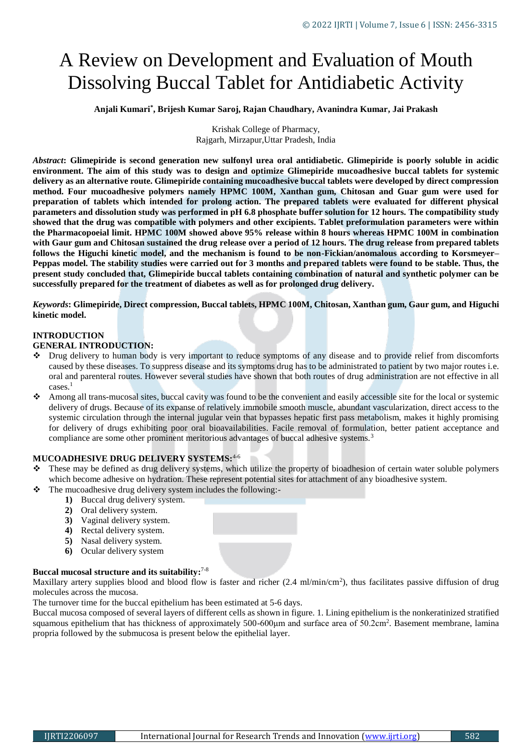# A Review on Development and Evaluation of Mouth Dissolving Buccal Tablet for Antidiabetic Activity

**Anjali Kumari\* , Brijesh Kumar Saroj, Rajan Chaudhary, Avanindra Kumar, Jai Prakash**

Krishak College of Pharmacy, Rajgarh, Mirzapur,Uttar Pradesh, India

*Abstract***: Glimepiride is second generation new sulfonyl urea oral antidiabetic. Glimepiride is poorly soluble in acidic environment. The aim of this study was to design and optimize Glimepiride mucoadhesive buccal tablets for systemic delivery as an alternative route. Glimepiride containing mucoadhesive buccal tablets were developed by direct compression method. Four mucoadhesive polymers namely HPMC 100M, Xanthan gum, Chitosan and Guar gum were used for preparation of tablets which intended for prolong action. The prepared tablets were evaluated for different physical parameters and dissolution study was performed in pH 6.8 phosphate buffer solution for 12 hours. The compatibility study showed that the drug was compatible with polymers and other excipients. Tablet preformulation parameters were within the Pharmacopoeial limit. HPMC 100M showed above 95% release within 8 hours whereas HPMC 100M in combination with Gaur gum and Chitosan sustained the drug release over a period of 12 hours. The drug release from prepared tablets follows the Higuchi kinetic model, and the mechanism is found to be non-Fickian/anomalous according to Korsmeyer– Peppas model. The stability studies were carried out for 3 months and prepared tablets were found to be stable. Thus, the present study concluded that, Glimepiride buccal tablets containing combination of natural and synthetic polymer can be successfully prepared for the treatment of diabetes as well as for prolonged drug delivery.** 

*Keywords***: Glimepiride, Direct compression, Buccal tablets, HPMC 100M, Chitosan, Xanthan gum, Gaur gum, and Higuchi kinetic model.** 

#### **INTRODUCTION**

#### **GENERAL INTRODUCTION:**

- Drug delivery to human body is very important to reduce symptoms of any disease and to provide relief from discomforts caused by these diseases. To suppress disease and its symptoms drug has to be administrated to patient by two major routes i.e. oral and parenteral routes. However several studies have shown that both routes of drug administration are not effective in all cases.<sup>1</sup>
- Among all trans-mucosal sites, buccal cavity was found to be the convenient and easily accessible site for the local or systemic delivery of drugs. Because of its expanse of relatively immobile smooth muscle, abundant vascularization, direct access to the systemic circulation through the internal jugular vein that bypasses hepatic first pass metabolism, makes it highly promising for delivery of drugs exhibiting poor oral bioavailabilities. Facile removal of formulation, better patient acceptance and compliance are some other prominent meritorious advantages of buccal adhesive systems.<sup>3</sup>

### **MUCOADHESIVE DRUG DELIVERY SYSTEMS:**4-6

- These may be defined as drug delivery systems, which utilize the property of bioadhesion of certain water soluble polymers which become adhesive on hydration. These represent potential sites for attachment of any bioadhesive system.
- The mucoadhesive drug delivery system includes the following:-
	- **1)** Buccal drug delivery system.
	- **2)** Oral delivery system.
	- **3)** Vaginal delivery system.
	- **4)** Rectal delivery system.
	- **5)** Nasal delivery system.
	- **6)** Ocular delivery system

#### **Buccal mucosal structure and its suitability:** 7-8

Maxillary artery supplies blood and blood flow is faster and richer (2.4 ml/min/cm<sup>2</sup>), thus facilitates passive diffusion of drug molecules across the mucosa.

The turnover time for the buccal epithelium has been estimated at 5-6 days.

Buccal mucosa composed of several layers of different cells as shown in figure. 1. Lining epithelium is the nonkeratinized stratified squamous epithelium that has thickness of approximately 500-600μm and surface area of 50.2cm<sup>2</sup>. Basement membrane, lamina propria followed by the submucosa is present below the epithelial layer.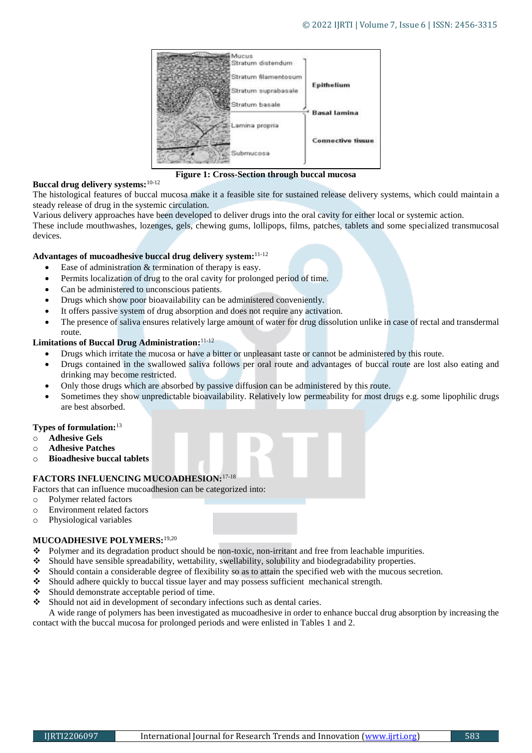

**Figure 1: Cross-Section through buccal mucosa**

### **Buccal drug delivery systems:**10-12

The histological features of buccal mucosa make it a feasible site for sustained release delivery systems, which could maintain a steady release of drug in the systemic circulation.

Various delivery approaches have been developed to deliver drugs into the oral cavity for either local or systemic action.

These include mouthwashes, lozenges, gels, chewing gums, lollipops, films, patches, tablets and some specialized transmucosal devices.

#### **Advantages of mucoadhesive buccal drug delivery system:** 11-12

- Ease of administration & termination of therapy is easy.
- Permits localization of drug to the oral cavity for prolonged period of time.
- Can be administered to unconscious patients.
- Drugs which show poor bioavailability can be administered conveniently.
- It offers passive system of drug absorption and does not require any activation.
- The presence of saliva ensures relatively large amount of water for drug dissolution unlike in case of rectal and transdermal route.

#### **Limitations of Buccal Drug Administration:** 11-12

- Drugs which irritate the mucosa or have a bitter or unpleasant taste or cannot be administered by this route.
- Drugs contained in the swallowed saliva follows per oral route and advantages of buccal route are lost also eating and drinking may become restricted.
- Only those drugs which are absorbed by passive diffusion can be administered by this route.
- Sometimes they show unpredictable bioavailability. Relatively low permeability for most drugs e.g. some lipophilic drugs are best absorbed.

#### **Types of formulation:**<sup>13</sup>

- o **Adhesive Gels**
- o **Adhesive Patches**
- o **Bioadhesive buccal tablets**

#### **FACTORS INFLUENCING MUCOADHESION:**17-18

Factors that can influence mucoadhesion can be categorized into:

- o Polymer related factors
- o Environment related factors
- o Physiological variables

#### **MUCOADHESIVE POLYMERS:**19,20

- $\bullet$  Polymer and its degradation product should be non-toxic, non-irritant and free from leachable impurities.
- Should have sensible spreadability, wettability, swellability, solubility and biodegradability properties.
- Should contain a considerable degree of flexibility so as to attain the specified web with the mucous secretion.
- Should adhere quickly to buccal tissue layer and may possess sufficient mechanical strength.
- Should demonstrate acceptable period of time.
- $\bullet$  Should not aid in development of secondary infections such as dental caries.

A wide range of polymers has been investigated as mucoadhesive in order to enhance buccal drug absorption by increasing the contact with the buccal mucosa for prolonged periods and were enlisted in Tables 1 and 2.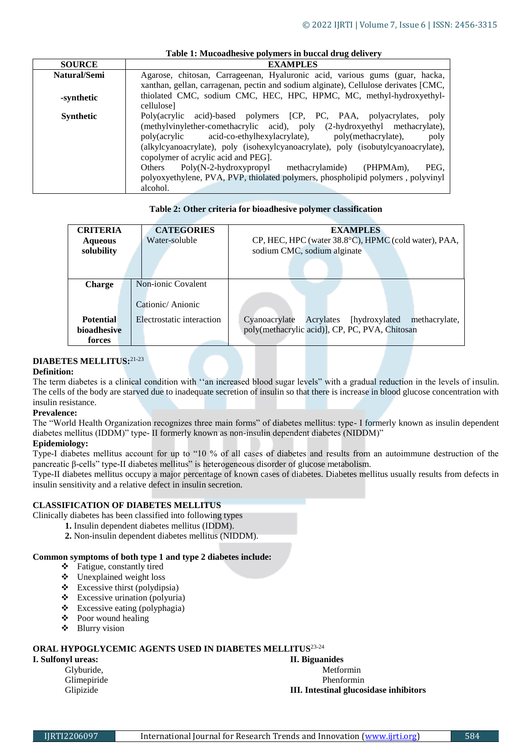|                  | Table 1: Mucoadhesive polymers in buccal drug delivery                                                                                                                                                                                                                                                                                                                                                                                                                                                                                    |  |  |  |  |  |
|------------------|-------------------------------------------------------------------------------------------------------------------------------------------------------------------------------------------------------------------------------------------------------------------------------------------------------------------------------------------------------------------------------------------------------------------------------------------------------------------------------------------------------------------------------------------|--|--|--|--|--|
| <b>SOURCE</b>    | <b>EXAMPLES</b>                                                                                                                                                                                                                                                                                                                                                                                                                                                                                                                           |  |  |  |  |  |
| Natural/Semi     | Agarose, chitosan, Carrageenan, Hyaluronic acid, various gums (guar, hacka,                                                                                                                                                                                                                                                                                                                                                                                                                                                               |  |  |  |  |  |
|                  | xanthan, gellan, carragenan, pectin and sodium alginate), Cellulose derivates [CMC,                                                                                                                                                                                                                                                                                                                                                                                                                                                       |  |  |  |  |  |
| -synthetic       | thiolated CMC, sodium CMC, HEC, HPC, HPMC, MC, methyl-hydroxyethyl-<br>cellulose]                                                                                                                                                                                                                                                                                                                                                                                                                                                         |  |  |  |  |  |
| <b>Synthetic</b> | acid)-based polymers [CP, PC, PAA, polyacrylates,<br>Poly(acrylic<br>poly<br>(methylvinylether-comethacrylic acid), poly (2-hydroxyethyl methacrylate),<br>acid-co-ethylhexylacrylate), poly(methacrylate),<br>poly(acrylic<br>poly<br>(alkylcyanoacrylate), poly (isohexylcyanoacrylate), poly (isobutylcyanoacrylate),<br>copolymer of acrylic acid and PEG].<br>$Poly(N-2-hydroxypropyl$ methacrylamide)<br>(PHPMAm).<br>PEG.<br>Others<br>polyoxyethylene, PVA, PVP, thiolated polymers, phospholipid polymers, polyvinyl<br>alcohol. |  |  |  |  |  |

#### **Table 2: Other criteria for bioadhesive polymer classification**

| <b>CRITERIA</b>  | <b>CATEGORIES</b>         | <b>EXAMPLES</b>                                            |
|------------------|---------------------------|------------------------------------------------------------|
| <b>Aqueous</b>   | Water-soluble             | CP, HEC, HPC (water 38.8°C), HPMC (cold water), PAA,       |
| solubility       |                           | sodium CMC, sodium alginate                                |
|                  |                           |                                                            |
|                  |                           |                                                            |
|                  |                           |                                                            |
| <b>Charge</b>    | Non-ionic Covalent        |                                                            |
|                  |                           |                                                            |
|                  | Cationic/Anionic          |                                                            |
|                  |                           |                                                            |
| <b>Potential</b> | Electrostatic interaction | Cyanoacrylate<br>Acrylates [hydroxylated]<br>methacrylate, |
| bioadhesive      |                           | poly(methacrylic acid)], CP, PC, PVA, Chitosan             |
| forces           |                           |                                                            |

#### **DIABETES MELLITUS:**21-23

#### **Definition:**

The term diabetes is a clinical condition with ''an increased blood sugar levels" with a gradual reduction in the levels of insulin. The cells of the body are starved due to inadequate secretion of insulin so that there is increase in blood glucose concentration with insulin resistance.

#### **Prevalence:**

The "World Health Organization recognizes three main forms" of diabetes mellitus: type- I formerly known as insulin dependent diabetes mellitus (IDDM)" type- II formerly known as non-insulin dependent diabetes (NIDDM)"

#### **Epidemiology:**

Type-I diabetes mellitus account for up to "10 % of all cases of diabetes and results from an autoimmune destruction of the pancreatic β-cells" type-II diabetes mellitus" is heterogeneous disorder of glucose metabolism.

Type-II diabetes mellitus occupy a major percentage of known cases of diabetes. Diabetes mellitus usually results from defects in insulin sensitivity and a relative defect in insulin secretion.

#### **CLASSIFICATION OF DIABETES MELLITUS**

Clinically diabetes has been classified into following types

- **1.** Insulin dependent diabetes mellitus (IDDM).
	- **2.** Non-insulin dependent diabetes mellitus (NIDDM).

#### **Common symptoms of both type 1 and type 2 diabetes include:**

- Fatigue, constantly tired
- $\triangleleft$  Unexplained weight loss
- $\triangleleft$  Excessive thirst (polydipsia)
- $\triangleleft$  Excessive urination (polyuria)
- $\triangleleft$  Excessive eating (polyphagia)
- Poor wound healing
- Blurry vision

### **ORAL HYPOGLYCEMIC AGENTS USED IN DIABETES MELLITUS**23-24

**I. Sulfonyl ureas: II. Biguanides**

Glyburide, Metformin Glimepiride Phenformin

#### Glipizide **III. Intestinal glucosidase inhibitors**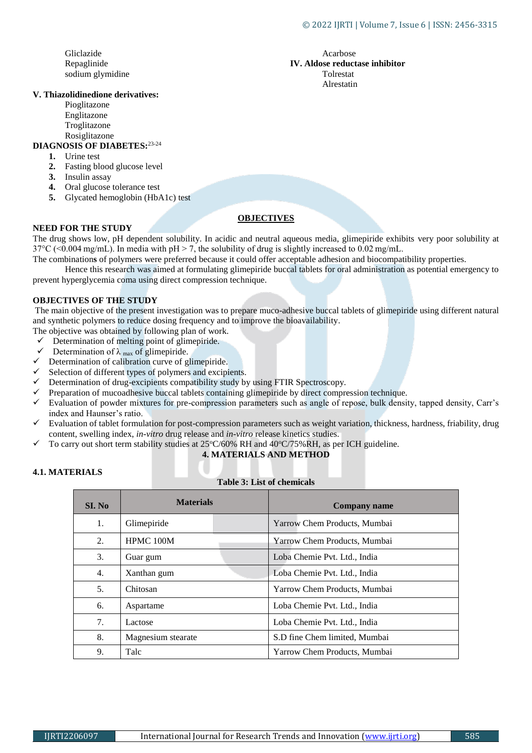Gliclazide Acarbose Acarbose Acarbose Acarbose Acarbose Acarbose Acarbose Acarbose Acarbose Acarbose Acarbose Acarbose Acarbose Acarbose Acarbose Acarbose Acarbose Acarbose Acarbose Acarbose Acarbose Acarbose Acarbose Acar sodium glymidine

#### **V. Thiazolidinedione derivatives:**

Pioglitazone Englitazone Troglitazone Rosiglitazone

#### **DIAGNOSIS OF DIABETES:**23-24

- **1.** Urine test
- **2.** Fasting blood glucose level
- **3.** Insulin assay
- **4.** Oral glucose tolerance test
- **5.** Glycated hemoglobin (HbA1c) test

### **OBJECTIVES**

#### **NEED FOR THE STUDY**

The drug shows low, pH dependent solubility. In acidic and neutral aqueous media, glimepiride exhibits very poor solubility at  $37^{\circ}$ C (<0.004 mg/mL). In media with pH > 7, the solubility of drug is slightly increased to 0.02 mg/mL.

The combination**s** of polymers were preferred because it could offer acceptable adhesion and biocompatibility properties. Hence this research was aimed at formulating glimepiride buccal tablets for oral administration as potential emergency to

prevent hyperglycemia coma using direct compression technique.

#### **OBJECTIVES OF THE STUDY**

The main objective of the present investigation was to prepare muco-adhesive buccal tablets of glimepiride using different natural and synthetic polymers to reduce dosing frequency and to improve the bioavailability.

- The objective was obtained by following plan of work.
- $\checkmark$  Determination of melting point of glimepiride.
- $\checkmark$  Determination of  $\lambda$  max of glimepiride.
- $\checkmark$  Determination of calibration curve of glimepiride.
- $\checkmark$  Selection of different types of polymers and excipients.
- Determination of drug-excipients compatibility study by using FTIR Spectroscopy.
- $\checkmark$  Preparation of mucoadhesive buccal tablets containing glimepiride by direct compression technique.
- $\checkmark$  Evaluation of powder mixtures for pre-compression parameters such as angle of repose, bulk density, tapped density, Carr's index and Haunser's ratio.
- $\checkmark$  Evaluation of tablet formulation for post-compression parameters such as weight variation, thickness, hardness, friability, drug content, swelling index, *in-vitro* drug release and *in-vitro* release kinetics studies.
- To carry out short term stability studies at  $25^{\circ}$ C/60% RH and  $40^{\circ}$ C/75% RH, as per ICH guideline.

#### **4. MATERIALS AND METHOD**

| <b>4.1. MATERIALS</b> |  |
|-----------------------|--|
|-----------------------|--|

#### **Table 3: List of chemicals**

| SI. No | <b>Materials</b>                        | <b>Company name</b>           |  |
|--------|-----------------------------------------|-------------------------------|--|
| 1.     | Glimepiride                             | Yarrow Chem Products, Mumbai  |  |
| 2.     | HPMC 100M                               | Yarrow Chem Products, Mumbai  |  |
| 3.     | Guar gum                                | Loba Chemie Pvt. Ltd., India  |  |
| 4.     | Xanthan gum                             | Loba Chemie Pvt. Ltd., India  |  |
| .5.    | Chitosan                                | Yarrow Chem Products, Mumbai  |  |
| 6.     | Aspartame                               | Loba Chemie Pvt. Ltd., India  |  |
| 7.     | Loba Chemie Pvt. Ltd., India<br>Lactose |                               |  |
| 8.     | Magnesium stearate                      | S.D fine Chem limited, Mumbai |  |
| 9.     | Talc                                    | Yarrow Chem Products, Mumbai  |  |

Repaglinide **IV. Aldose reductase inhibitor**<br> **IV. Aldose reductase inhibitor**<br> **IV. Aldose reductase inhibitor** Alrestatin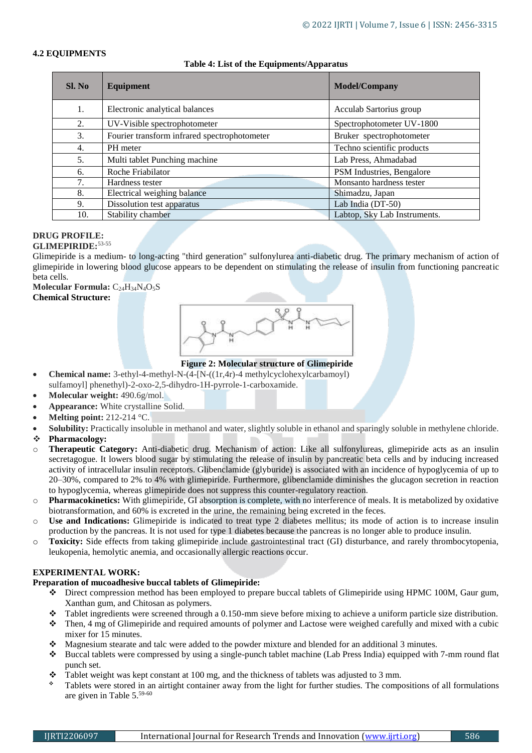#### **4.2 EQUIPMENTS**

#### **Table 4: List of the Equipments/Apparatus**

| Sl. No | Equipment                                    | <b>Model/Company</b>         |
|--------|----------------------------------------------|------------------------------|
| 1.     | Electronic analytical balances               | Acculab Sartorius group      |
| 2.     | UV-Visible spectrophotometer                 | Spectrophotometer UV-1800    |
| 3.     | Fourier transform infrared spectrophotometer | Bruker spectrophotometer     |
| 4.     | PH meter                                     | Techno scientific products   |
| 5.     | Multi tablet Punching machine                | Lab Press, Ahmadabad         |
| 6.     | Roche Friabilator                            | PSM Industries, Bengalore    |
| 7.     | Hardness tester                              | Monsanto hardness tester     |
| 8.     | Electrical weighing balance                  | Shimadzu, Japan              |
| 9.     | Dissolution test apparatus                   | Lab India (DT-50)            |
| 10.    | Stability chamber                            | Labtop, Sky Lab Instruments. |

## **DRUG PROFILE:**

#### **GLIMEPIRIDE:**53-55

Glimepiride is a medium- to long-acting "third generation" sulfonylurea anti-diabetic drug. The primary mechanism of action of glimepiride in lowering blood glucose appears to be dependent on stimulating the release of insulin from functioning pancreatic beta cells.

#### Molecular Formula: C<sub>24</sub>H<sub>34</sub>N<sub>4</sub>O<sub>5</sub>S</sub> **Chemical Structure:**



**Figure 2: Molecular structure of Glimepiride**

- **Chemical name:** 3-ethyl-4-methyl-N-(4-[N-((1r,4r)-4 methylcyclohexylcarbamoyl) sulfamoyl] phenethyl)-2-oxo-2,5-dihydro-1H-pyrrole-1-carboxamide.
- **Molecular weight:** 490.6g/mol.
- **Appearance:** White crystalline Solid.
- **Melting point:** 212-214 °C.
- **Solubility:** Practically insoluble in methanol and water, slightly soluble in ethanol and sparingly soluble in methylene chloride.
- **Pharmacology:**
- o **Therapeutic Category:** Anti-diabetic drug. Mechanism of action: Like all sulfonylureas, glimepiride acts as an insulin secretagogue. It lowers blood sugar by stimulating the release of insulin by pancreatic beta cells and by inducing increased activity of intracellular insulin receptors. Glibenclamide (glyburide) is associated with an incidence of hypoglycemia of up to 20–30%, compared to 2% to 4% with glimepiride. Furthermore, glibenclamide diminishes the glucagon secretion in reaction to hypoglycemia, whereas glimepiride does not suppress this counter-regulatory reaction.
- o **Pharmacokinetics:** With glimepiride, GI absorption is complete, with no interference of meals. It is metabolized by oxidative biotransformation, and 60% is excreted in the urine, the remaining being excreted in the feces.
- o **Use and Indications:** Glimepiride is indicated to treat type 2 diabetes mellitus; its mode of action is to increase insulin production by the pancreas. It is not used for type 1 diabetes because the pancreas is no longer able to produce insulin.
- o **Toxicity:** Side effects from taking glimepiride include gastrointestinal tract (GI) disturbance, and rarely thrombocytopenia, leukopenia, hemolytic anemia, and occasionally allergic reactions occur.

#### **EXPERIMENTAL WORK:**

#### **Preparation of mucoadhesive buccal tablets of Glimepiride:**

- Direct compression method has been employed to prepare buccal tablets of Glimepiride using HPMC 100M, Gaur gum, Xanthan gum, and Chitosan as polymers.
- $\bullet$  Tablet ingredients were screened through a 0.150-mm sieve before mixing to achieve a uniform particle size distribution.
- Then, 4 mg of Glimepiride and required amounts of polymer and Lactose were weighed carefully and mixed with a cubic mixer for 15 minutes.
- Magnesium stearate and talc were added to the powder mixture and blended for an additional 3 minutes.
- Buccal tablets were compressed by using a single-punch tablet machine (Lab Press India) equipped with 7-mm round flat punch set.
- $\bullet$  Tablet weight was kept constant at 100 mg, and the thickness of tablets was adjusted to 3 mm.
- Tablets were stored in an airtight container away from the light for further studies. The compositions of all formulations are given in Table 5.59-60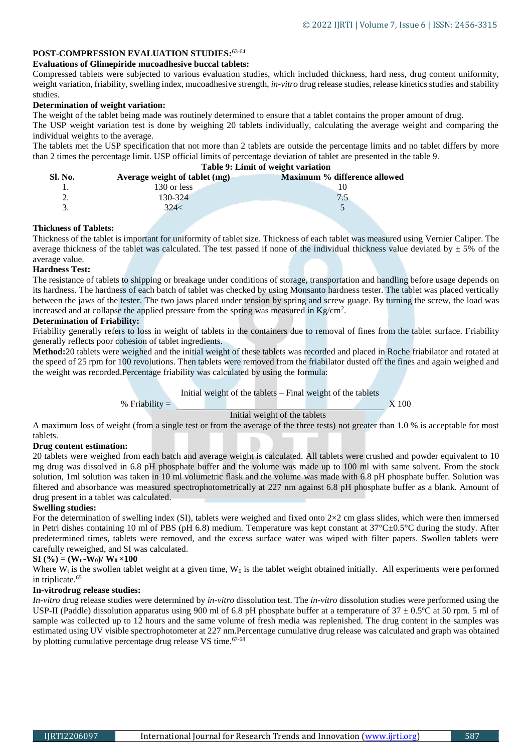#### **POST-COMPRESSION EVALUATION STUDIES:**63-64

#### **Evaluations of Glimepiride mucoadhesive buccal tablets:**

% Friability  $=$ 

Compressed tablets were subjected to various evaluation studies, which included thickness, hard ness, drug content uniformity, weight variation, friability, swelling index, mucoadhesive strength, *in-vitro* drug release studies, release kinetics studies and stability studies.

#### **Determination of weight variation:**

The weight of the tablet being made was routinely determined to ensure that a tablet contains the proper amount of drug.

The USP weight variation test is done by weighing 20 tablets individually, calculating the average weight and comparing the individual weights to the average.

The tablets met the USP specification that not more than 2 tablets are outside the percentage limits and no tablet differs by more than 2 times the percentage limit. USP official limits of percentage deviation of tablet are presented in the table 9.

**Table 9: Limit of weight variation** 

| Sl. No. | Average weight of tablet (mg) | Maximum % difference allowed |
|---------|-------------------------------|------------------------------|
|         | 130 or less                   |                              |
|         | 130-324                       |                              |
|         | 324<                          |                              |
|         |                               |                              |

#### **Thickness of Tablets:**

Thickness of the tablet is important for uniformity of tablet size. Thickness of each tablet was measured using Vernier Caliper. The average thickness of the tablet was calculated. The test passed if none of the individual thickness value deviated by  $\pm$  5% of the average value.

#### **Hardness Test:**

The resistance of tablets to shipping or breakage under conditions of storage, transportation and handling before usage depends on its hardness. The hardness of each batch of tablet was checked by using Monsanto hardness tester. The tablet was placed vertically between the jaws of the tester. The two jaws placed under tension by spring and screw guage. By turning the screw, the load was increased and at collapse the applied pressure from the spring was measured in  $Kg/cm<sup>2</sup>$ .

#### **Determination of Friability:**

Friability generally refers to loss in weight of tablets in the containers due to removal of fines from the tablet surface. Friability generally reflects poor cohesion of tablet ingredients.

**Method:**20 tablets were weighed and the initial weight of these tablets was recorded and placed in Roche friabilator and rotated at the speed of 25 rpm for 100 revolutions. Then tablets were removed from the friabilator dusted off the fines and again weighed and the weight was recorded.Percentage friability was calculated by using the formula:

Initial weight of the tablets – Final weight of the tablets

X 100

#### Initial weight of the tablets

A maximum loss of weight (from a single test or from the average of the three tests) not greater than 1.0 % is acceptable for most tablets.

#### **Drug content estimation:**

20 tablets were weighed from each batch and average weight is calculated. All tablets were crushed and powder equivalent to 10 mg drug was dissolved in 6.8 pH phosphate buffer and the volume was made up to 100 ml with same solvent. From the stock solution, 1ml solution was taken in 10 ml volumetric flask and the volume was made with 6.8 pH phosphate buffer. Solution was filtered and absorbance was measured spectrophotometrically at 227 nm against 6.8 pH phosphate buffer as a blank. Amount of drug present in a tablet was calculated.

#### **Swelling studies:**

For the determination of swelling index (SI), tablets were weighed and fixed onto  $2\times 2$  cm glass slides, which were then immersed in Petri dishes containing 10 ml of PBS (pH 6.8) medium. Temperature was kept constant at  $37^{\circ}$ C $\pm$ 0.5°C during the study. After predetermined times, tablets were removed, and the excess surface water was wiped with filter papers. Swollen tablets were carefully reweighed, and SI was calculated.

#### $SI (% ) = (W<sub>t</sub> - W<sub>0</sub>)/ W<sub>0</sub> \times 100$

Where  $W_t$  is the swollen tablet weight at a given time,  $W_0$  is the tablet weight obtained initially. All experiments were performed in triplicate.<sup>65</sup>

#### **In-vitrodrug release studies:**

*In-vitro* drug release studies were determined by *in-vitro* dissolution test. The *in-vitro* dissolution studies were performed using the USP-II (Paddle) dissolution apparatus using 900 ml of 6.8 pH phosphate buffer at a temperature of  $37 \pm 0.5$ °C at 50 rpm. 5 ml of sample was collected up to 12 hours and the same volume of fresh media was replenished. The drug content in the samples was estimated using UV visible spectrophotometer at 227 nm.Percentage cumulative drug release was calculated and graph was obtained by plotting cumulative percentage drug release VS time.<sup>67-68</sup>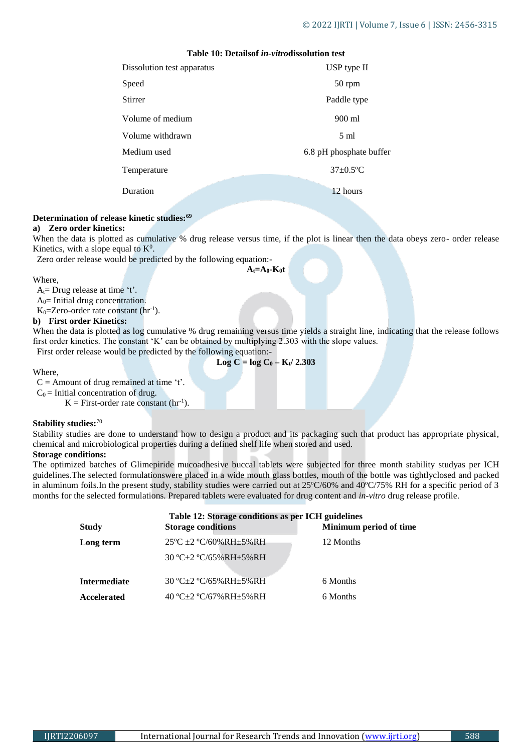#### **Table 10: Detailsof** *in-vitro***dissolution test**

| Dissolution test apparatus | USP type II             |
|----------------------------|-------------------------|
| Speed                      | 50 rpm                  |
| Stirrer                    | Paddle type             |
| Volume of medium           | 900 ml                  |
| Volume withdrawn           | $5 \text{ ml}$          |
| Medium used                | 6.8 pH phosphate buffer |
| Temperature                | $37\pm0.5$ °C           |
| Duration                   | 12 hours                |
|                            |                         |

#### **Determination of release kinetic studies:<sup>69</sup>**

#### **a) Zero order kinetics:**

When the data is plotted as cumulative % drug release versus time, if the plot is linear then the data obeys zero- order release Kinetics, with a slope equal to  $K^0$ .

Zero order release would be predicted by the following equation:-

**At=A0-K0t**

Where,

 $A_t = Drug$  release at time 't'.

 $A<sub>0</sub>=$  Initial drug concentration.

 $K_0$ =Zero-order rate constant (hr<sup>-1</sup>).

#### **b) First order Kinetics:**

When the data is plotted as log cumulative % drug remaining versus time yields a straight line, indicating that the release follows first order kinetics. The constant 'K' can be obtained by multiplying 2.303 with the slope values.

First order release would be predicted by the following equation:-

Where,

 $Log C = log C_0 - K_t / 2.303$ 

 $C =$  Amount of drug remained at time 't'.

 $C_0$  = Initial concentration of drug.

 $K =$  First-order rate constant ( $hr^{-1}$ ).

#### **Stability studies:**<sup>70</sup>

Stability studies are done to understand how to design a product and its packaging such that product has appropriate physical, chemical and microbiological properties during a defined shelf life when stored and used.

### **Storage conditions:**

The optimized batches of Glimepiride mucoadhesive buccal tablets were subjected for three month stability studyas per ICH guidelines.The selected formulationswere placed in a wide mouth glass bottles, mouth of the bottle was tightlyclosed and packed in aluminum foils.In the present study, stability studies were carried out at 25ºC/60% and 40ºC/75% RH for a specific period of 3 months for the selected formulations. Prepared tablets were evaluated for drug content and *in-vitro* drug release profile.

|                     | Table 12: Storage conditions as per ICH guidelines |                        |  |  |  |  |
|---------------------|----------------------------------------------------|------------------------|--|--|--|--|
| <b>Study</b>        | <b>Storage conditions</b>                          | Minimum period of time |  |  |  |  |
| Long term           | $25^{\circ}$ C ± 2 $^{\circ}$ C/60%RH ± 5%RH       | 12 Months              |  |  |  |  |
|                     | $30 °C + 2 °C/65\%RH + 5\%RH$                      |                        |  |  |  |  |
| <b>Intermediate</b> | 30 °C±2 °C/65%RH±5%RH                              | 6 Months               |  |  |  |  |
| Accelerated         | 40 °C+2 °C/67% RH+5% RH                            | 6 Months               |  |  |  |  |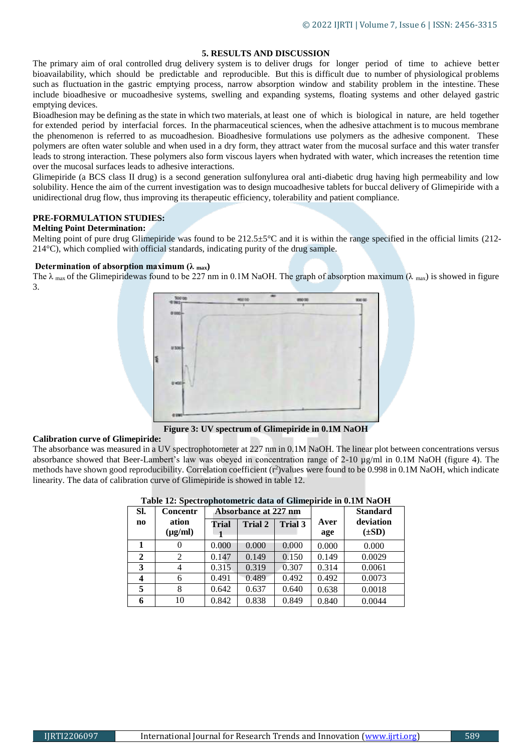#### **5. RESULTS AND DISCUSSION**

The primary aim of oral controlled drug delivery system is to deliver drugs for longer period of time to achieve better bioavailability, which should be predictable and reproducible. But this is difficult due to number of physiological problems such as fluctuation in the gastric emptying process, narrow absorption window and stability problem in the intestine. These include bioadhesive or mucoadhesive systems, swelling and expanding systems, floating systems and other delayed gastric emptying devices.

Bioadhesion may be defining as the state in which two materials, at least one of which is biological in nature, are held together for extended period by interfacial forces. In the pharmaceutical sciences, when the adhesive attachment is to mucous membrane the phenomenon is referred to as mucoadhesion. Bioadhesive formulations use polymers as the adhesive component. These polymers are often water soluble and when used in a dry form, they attract water from the mucosal surface and this water transfer leads to strong interaction. These polymers also form viscous layers when hydrated with water, which increases the retention time over the mucosal surfaces leads to adhesive interactions.

Glimepiride (a BCS class II drug) is a second generation sulfonylurea oral anti-diabetic drug having high permeability and low solubility. Hence the aim of the current investigation was to design mucoadhesive tablets for buccal delivery of Glimepiride with a unidirectional drug flow, thus improving its therapeutic efficiency, tolerability and patient compliance.

#### **PRE-FORMULATION STUDIES:**

#### **Melting Point Determination:**

Melting point of pure drug Glimepiride was found to be  $212.5\pm5\degree$ C and it is within the range specified in the official limits (212-214°C), which complied with official standards, indicating purity of the drug sample.

#### **Determination of absorption maximum (λ max)**

The  $\lambda$  max of the Glimepiridewas found to be 227 nm in 0.1M NaOH. The graph of absorption maximum ( $\lambda$  max) is showed in figure 3.



**Figure 3: UV spectrum of Glimepiride in 0.1M NaOH**

#### **Calibration curve of Glimepiride:**

The absorbance was measured in a UV spectrophotometer at 227 nm in 0.1M NaOH. The linear plot between concentrations versus absorbance showed that Beer-Lambert's law was obeyed in concentration range of 2-10 µg/ml in 0.1M NaOH (figure 4). The methods have shown good reproducibility. Correlation coefficient (r<sup>2</sup>)values were found to be 0.998 in 0.1M NaOH, which indicate linearity. The data of calibration curve of Glimepiride is showed in table 12.

| SI.            | Concentr              | Absorbance at 227 nm |                |                |             | <b>Standard</b>         |
|----------------|-----------------------|----------------------|----------------|----------------|-------------|-------------------------|
| n <sub>0</sub> | ation<br>$(\mu g/ml)$ | <b>Trial</b>         | <b>Trial 2</b> | <b>Trial 3</b> | Aver<br>age | deviation<br>$(\pm SD)$ |
|                |                       | 0.000                | 0.000          | 0.000          | 0.000       | 0.000                   |
| $\mathbf{2}$   | 2                     | 0.147                | 0.149          | 0.150          | 0.149       | 0.0029                  |
| 3              | 4                     | 0.315                | 0.319          | 0.307          | 0.314       | 0.0061                  |
| 4              | 6                     | 0.491                | 0.489          | 0.492          | 0.492       | 0.0073                  |
| 5              | 8                     | 0.642                | 0.637          | 0.640          | 0.638       | 0.0018                  |
| 6              | 10                    | 0.842                | 0.838          | 0.849          | 0.840       | 0.0044                  |

#### **Table 12: Spectrophotometric data of Glimepiride in 0.1M NaOH**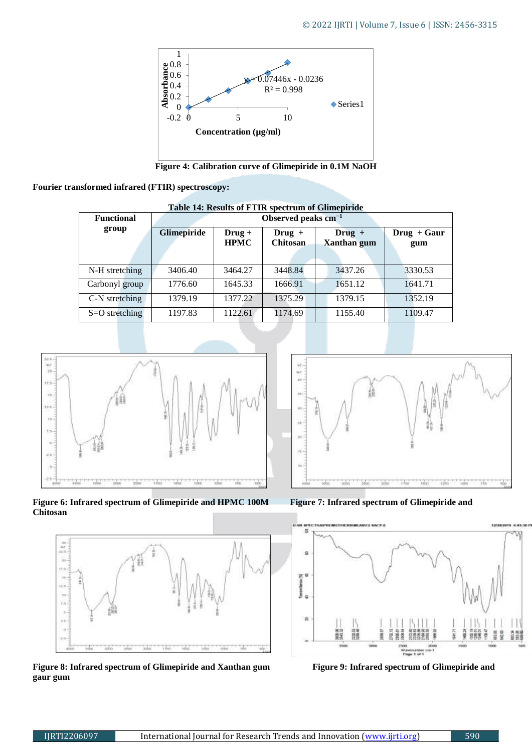

**Figure 4: Calibration curve of Glimepiride in 0.1M NaOH**

#### **Fourier transformed infrared (FTIR) spectroscopy:**

| <b>Functional</b> | Observed peaks $cm^{-1}$ |                         |                             |                                |                      |
|-------------------|--------------------------|-------------------------|-----------------------------|--------------------------------|----------------------|
| group             | Glimepiride              | $Drug +$<br><b>HPMC</b> | $Drug +$<br><b>Chitosan</b> | $Drug +$<br><b>Xanthan</b> gum | $Drug + Gaur$<br>gum |
| N-H stretching    | 3406.40                  | 3464.27                 | 3448.84                     | 3437.26                        | 3330.53              |
| Carbonyl group    | 1776.60                  | 1645.33                 | 1666.91                     | 1651.12                        | 1641.71              |
| C-N stretching    | 1379.19                  | 1377.22                 | 1375.29                     | 1379.15                        | 1352.19              |
| $S=O$ stretching  | 1197.83                  | 1122.61                 | 1174.69                     | 1155.40                        | 1109.47              |

### **Table 14: Results of FTIR spectrum of Glimepiride**







Figure 8: Infrared spectrum of Glimepiride and Xanthan gum Figure 9: Infrared spectrum of Glimepiride and **gaur gum** 



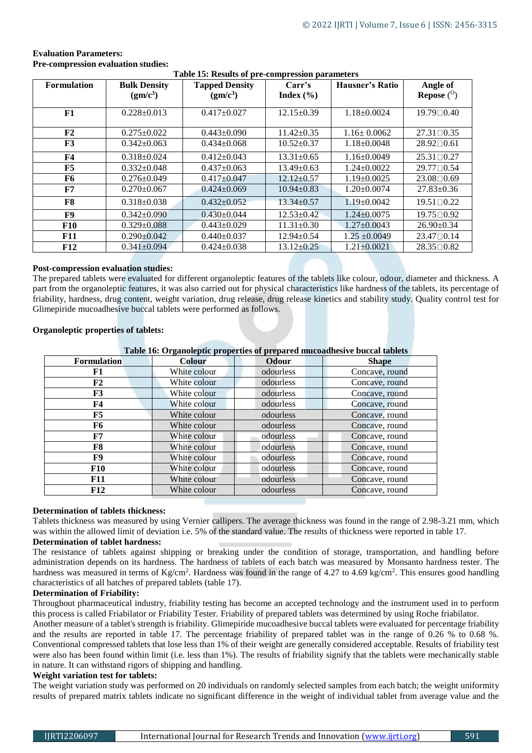| Table 15: Results of pre-compression parameters |                      |                       |                  |                   |                      |  |
|-------------------------------------------------|----------------------|-----------------------|------------------|-------------------|----------------------|--|
| <b>Formulation</b>                              | <b>Bulk Density</b>  | <b>Tapped Density</b> | Carr's           | Hausner's Ratio   | Angle of             |  |
|                                                 | (gm/c <sup>3</sup> ) | (gm/c <sup>3</sup> )  | Index $(\% )$    |                   | Repose $(°)$         |  |
|                                                 |                      |                       |                  |                   |                      |  |
| F1                                              | $0.228 \pm 0.013$    | $0.417 \pm 0.027$     | $12.15 \pm 0.39$ | $1.18 \pm 0.0024$ | 19.79□0.40           |  |
|                                                 |                      |                       |                  |                   |                      |  |
| F2                                              | $0.275 \pm 0.022$    | $0.443 \pm 0.090$     | $11.42 \pm 0.35$ | $1.16 \pm 0.0062$ | $27.31 \square 0.35$ |  |
| F3                                              | $0.342 \pm 0.063$    | $0.434 \pm 0.068$     | $10.52 \pm 0.37$ | $1.18 \pm 0.0048$ | $28.92 \square 0.61$ |  |
| F4                                              | $0.318 \pm 0.024$    | $0.412 \pm 0.043$     | $13.31 \pm 0.65$ | $1.16 \pm 0.0049$ | $25.31 \square 0.27$ |  |
| F5                                              | $0.332 \pm 0.048$    | $0.437 \pm 0.063$     | $13.49 \pm 0.63$ | $1.24 \pm 0.0022$ | $29.77 \square 0.54$ |  |
| F6                                              | $0.276 \pm 0.049$    | $0.417 \pm 0.047$     | $12.12 \pm 0.57$ | $1.19 \pm 0.0025$ | 23.08 0.69           |  |
| F7                                              | $0.270 \pm 0.067$    | $0.424 \pm 0.069$     | $10.94 \pm 0.83$ | $1.20 \pm 0.0074$ | $27.83 \pm 0.36$     |  |
| F8                                              | $0.318 \pm 0.038$    | $0.432+0.052$         | $13.34 \pm 0.57$ | $1.19 \pm 0.0042$ | $19.51 \square 0.22$ |  |
| F9                                              | $0.342 \pm 0.090$    | $0.430 \pm 0.044$     | $12.53 \pm 0.42$ | $1.24 \pm 0.0075$ | 19.75□0.92           |  |
| <b>F10</b>                                      | $0.329 \pm 0.088$    | $0.443 \pm 0.029$     | $11.31 \pm 0.30$ | $1.27 \pm 0.0043$ | $26.90 \pm 0.34$     |  |
| <b>F11</b>                                      | $0.290 \pm 0.042$    | $0.440 \pm 0.037$     | $12.94 \pm 0.54$ | $1.25 \pm 0.0049$ | $23.47 \square 0.14$ |  |
| <b>F12</b>                                      | $0.341 \pm 0.094$    | $0.424 \pm 0.038$     | $13.12 \pm 0.25$ | $1.21 \pm 0.0021$ | $28.35 \square 0.82$ |  |

#### **Evaluation Parameters: Pre-compression evaluation studies:**

#### **Table 15: Results of pre-compression parameters**

#### **Post-compression evaluation studies:**

The prepared tablets were evaluated for different organoleptic features of the tablets like colour, odour, diameter and thickness. A part from the organoleptic features, it was also carried out for physical characteristics like hardness of the tablets, its percentage of friability, hardness, drug content, weight variation, drug release, drug release kinetics and stability study. Quality control test for Glimepiride mucoadhesive buccal tablets were performed as follows.

#### **Organoleptic properties of tablets:**

#### **Table 16: Organoleptic properties of prepared mucoadhesive buccal tablets**

| <b>Formulation</b> | <b>Colour</b> | Odour     | <b>Shape</b>   |
|--------------------|---------------|-----------|----------------|
| F1                 | White colour  | odourless | Concave, round |
| ${\bf F2}$         | White colour  | odourless | Concave, round |
| F3                 | White colour  | odourless | Concave, round |
| F4                 | White colour  | odourless | Concave, round |
| F5                 | White colour  | odourless | Concave, round |
| F6                 | White colour  | odourless | Concave, round |
| F7                 | White colour  | odourless | Concave, round |
| F8                 | White colour  | odourless | Concave, round |
| F9                 | White colour  | odourless | Concave, round |
| <b>F10</b>         | White colour  | odourless | Concave, round |
| <b>F11</b>         | White colour  | odourless | Concave, round |
| <b>F12</b>         | White colour  | odourless | Concave, round |

#### **Determination of tablets thickness:**

Tablets thickness was measured by using Vernier callipers. The average thickness was found in the range of 2.98-3.21 mm, which was within the allowed limit of deviation i.e. 5% of the standard value. The results of thickness were reported in table 17.

#### **Determination of tablet hardness:**

The resistance of tablets against shipping or breaking under the condition of storage, transportation, and handling before administration depends on its hardness. The hardness of tablets of each batch was measured by Monsanto hardness tester. The hardness was measured in terms of Kg/cm<sup>2</sup>. Hardness was found in the range of 4.27 to 4.69 kg/cm<sup>2</sup>. This ensures good handling characteristics of all batches of prepared tablets (table 17).

#### **Determination of Friability:**

Throughout pharmaceutical industry, friability testing has become an accepted technology and the instrument used in to perform this process is called Friabilator or Friability Tester. Friability of prepared tablets was determined by using Roche friabilator.

Another measure of a tablet's strength is friability. Glimepiride mucoadhesive buccal tablets were evaluated for percentage friability and the results are reported in table 17. The percentage friability of prepared tablet was in the range of 0.26 % to 0.68 %. Conventional compressed tablets that lose less than 1% of their weight are generally considered acceptable. Results of friability test were also has been found within limit (i.e. less than 1%). The results of friability signify that the tablets were mechanically stable in nature. It can withstand rigors of shipping and handling.

#### **Weight variation test for tablets:**

The weight variation study was performed on 20 individuals on randomly selected samples from each batch; the weight uniformity results of prepared matrix tablets indicate no significant difference in the weight of individual tablet from average value and the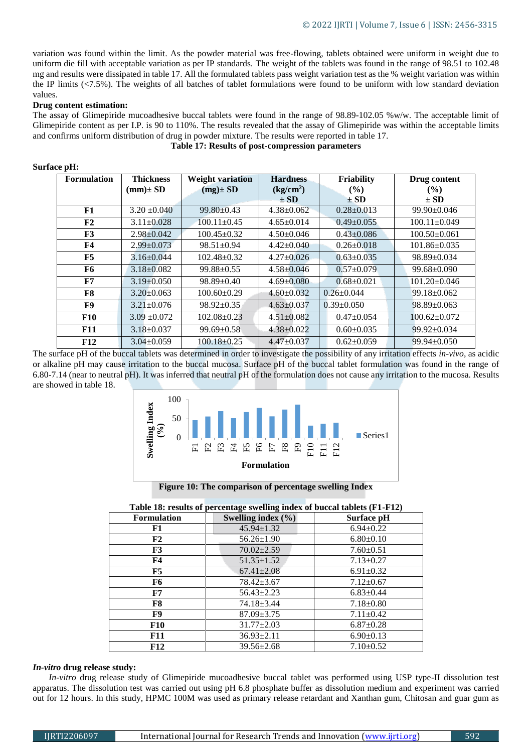variation was found within the limit. As the powder material was free-flowing, tablets obtained were uniform in weight due to uniform die fill with acceptable variation as per IP standards. The weight of the tablets was found in the range of 98.51 to 102.48 mg and results were dissipated in table 17. All the formulated tablets pass weight variation test as the % weight variation was within the IP limits (<7.5%). The weights of all batches of tablet formulations were found to be uniform with low standard deviation values.

#### **Drug content estimation:**

The assay of Glimepiride mucoadhesive buccal tablets were found in the range of 98.89-102.05 %w/w. The acceptable limit of Glimepiride content as per I.P. is 90 to 110%. The results revealed that the assay of Glimepiride was within the acceptable limits and confirms uniform distribution of drug in powder mixture. The results were reported in table 17.

#### **Table 17: Results of post-compression parameters**

| <b>Formulation</b> | <b>Thickness</b> | <b>Weight variation</b> | <b>Hardness</b>       | <b>Friability</b> | Drug content       |
|--------------------|------------------|-------------------------|-----------------------|-------------------|--------------------|
|                    | $(mm) \pm SD$    | $(mg) \pm SD$           | (kg/cm <sup>2</sup> ) | $($ %)            | $($ %)             |
|                    |                  |                         | $\pm$ SD              | $\pm$ SD          | $\pm$ SD           |
| F1                 | $3.20 \pm 0.040$ | $99.80 + 0.43$          | $4.38 \pm 0.062$      | $0.28 \pm 0.013$  | $99.90 \pm 0.046$  |
| F2                 | $3.11 \pm 0.028$ | $100.11 \pm 0.45$       | $4.65 \pm 0.014$      | $0.49 \pm 0.055$  | $100.11 \pm 0.049$ |
| F3                 | $2.98 \pm 0.042$ | $100.45 \pm 0.32$       | $4.50 \pm 0.046$      | $0.43 \pm 0.086$  | $100.50 \pm 0.061$ |
| F4                 | $2.99 \pm 0.073$ | $98.51 \pm 0.94$        | $4.42 \pm 0.040$      | $0.26 \pm 0.018$  | $101.86 \pm 0.035$ |
| F5                 | $3.16 \pm 0.044$ | $102.48 \pm 0.32$       | $4.27 \pm 0.026$      | $0.63 \pm 0.035$  | $98.89 \pm 0.034$  |
| F6                 | $3.18 \pm 0.082$ | $99.88 \pm 0.55$        | $4.58 \pm 0.046$      | $0.57 \pm 0.079$  | $99.68 \pm 0.090$  |
| F7                 | $3.19 \pm 0.050$ | $98.89 \pm 0.40$        | $4.69 \pm 0.080$      | $0.68 \pm 0.021$  | $101.20 \pm 0.046$ |
| F8                 | $3.20 \pm 0.063$ | $100.60 \pm 0.29$       | $4.60 \pm 0.032$      | $0.26 + 0.044$    | $99.18 \pm 0.062$  |
| F9                 | $3.21 \pm 0.076$ | $98.92 \pm 0.35$        | $4.63 \pm 0.037$      | $0.39 \pm 0.050$  | $98.89 \pm 0.063$  |
| <b>F10</b>         | $3.09 \pm 0.072$ | $102.08 \pm 0.23$       | $4.51 \pm 0.082$      | $0.47 \pm 0.054$  | $100.62 \pm 0.072$ |
| <b>F11</b>         | $3.18 \pm 0.037$ | $99.69 \pm 0.58$        | $4.38 \pm 0.022$      | $0.60 \pm 0.035$  | $99.92 \pm 0.034$  |
| <b>F12</b>         | $3.04 \pm 0.059$ | $100.18 \pm 0.25$       | $4.47 \pm 0.037$      | $0.62 \pm 0.059$  | $99.94 \pm 0.050$  |

**Surface pH:**

The surface pH of the buccal tablets was determined in order to investigate the possibility of any irritation effects *in-vivo*, as acidic or alkaline pH may cause irritation to the buccal mucosa. Surface pH of the buccal tablet formulation was found in the range of 6.80-7.14 (near to neutral pH). It was inferred that neutral pH of the formulation does not cause any irritation to the mucosa. Results are showed in table 18.



**Figure 10: The comparison of percentage swelling Index** 

|                    | <b>Table 18: results of percentage swelling index of buccal tablets (F1-F12)</b> |                 |  |  |  |  |
|--------------------|----------------------------------------------------------------------------------|-----------------|--|--|--|--|
| <b>Formulation</b> | Swelling index $(\% )$                                                           | Surface pH      |  |  |  |  |
| F1                 | $45.94 \pm 1.32$                                                                 | $6.94 \pm 0.22$ |  |  |  |  |
| F2                 | $56.26 \pm 1.90$                                                                 | $6.80\pm0.10$   |  |  |  |  |
| F3                 | $70.02 \pm 2.59$                                                                 | $7.60 \pm 0.51$ |  |  |  |  |
| F4                 | $51.35 \pm 1.52$                                                                 | $7.13 \pm 0.27$ |  |  |  |  |
| F5                 | $67.41 \pm 2.08$                                                                 | $6.91 \pm 0.32$ |  |  |  |  |
| F6                 | $78.42 \pm 3.67$                                                                 | $7.12 \pm 0.67$ |  |  |  |  |
| ${\bf F7}$         | $56.43 \pm 2.23$                                                                 | $6.83 \pm 0.44$ |  |  |  |  |
| F8                 | $74.18 \pm 3.44$                                                                 | $7.18 \pm 0.80$ |  |  |  |  |
| F9                 | $87.09 \pm 3.75$                                                                 | $7.11 \pm 0.42$ |  |  |  |  |
| <b>F10</b>         | $31.77 \pm 2.03$                                                                 | $6.87 \pm 0.28$ |  |  |  |  |
| <b>F11</b>         | $36.93 \pm 2.11$                                                                 | $6.90 \pm 0.13$ |  |  |  |  |
| <b>F12</b>         | $39.56 \pm 2.68$                                                                 | $7.10\pm0.52$   |  |  |  |  |

#### *In-vitro* **drug release study:**

*In-vitro* drug release study of Glimepiride mucoadhesive buccal tablet was performed using USP type-II dissolution test apparatus. The dissolution test was carried out using pH 6.8 phosphate buffer as dissolution medium and experiment was carried out for 12 hours. In this study, HPMC 100M was used as primary release retardant and Xanthan gum, Chitosan and guar gum as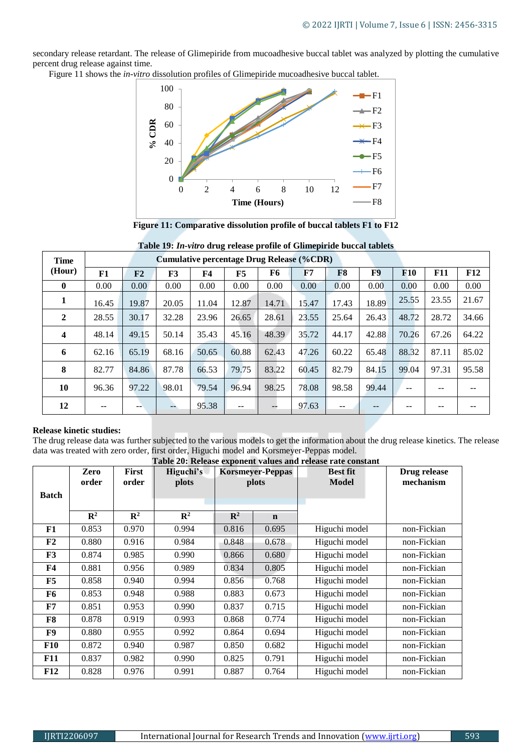secondary release retardant. The release of Glimepiride from mucoadhesive buccal tablet was analyzed by plotting the cumulative percent drug release against time.

Figure 11 shows the *in-vitro* dissolution profiles of Glimepiride mucoadhesive buccal tablet.



**Figure 11: Comparative dissolution profile of buccal tablets F1 to F12**

| Time         | rasiv 1971 in Tano drug release prome or chillepirate succent austers<br><b>Cumulative percentage Drug Release (%CDR)</b> |       |       |                |                          |       |       |                |       |            |       |       |
|--------------|---------------------------------------------------------------------------------------------------------------------------|-------|-------|----------------|--------------------------|-------|-------|----------------|-------|------------|-------|-------|
| (Hour)       | F1                                                                                                                        | F2    | F3    | F <sub>4</sub> | F5                       | F6    | F7    | F <sub>8</sub> | F9    | <b>F10</b> | F11   | F12   |
| $\mathbf{0}$ | 0.00                                                                                                                      | 0.00  | 0.00  | 0.00           | 0.00                     | 0.00  | 0.00  | 0.00           | 0.00  | 0.00       | 0.00  | 0.00  |
| 1            | 16.45                                                                                                                     | 19.87 | 20.05 | 11.04          | 12.87                    | 14.71 | 15.47 | 17.43          | 18.89 | 25.55      | 23.55 | 21.67 |
| $\mathbf{2}$ | 28.55                                                                                                                     | 30.17 | 32.28 | 23.96          | 26.65                    | 28.61 | 23.55 | 25.64          | 26.43 | 48.72      | 28.72 | 34.66 |
| 4            | 48.14                                                                                                                     | 49.15 | 50.14 | 35.43          | 45.16                    | 48.39 | 35.72 | 44.17          | 42.88 | 70.26      | 67.26 | 64.22 |
| 6            | 62.16                                                                                                                     | 65.19 | 68.16 | 50.65          | 60.88                    | 62.43 | 47.26 | 60.22          | 65.48 | 88.32      | 87.11 | 85.02 |
| 8            | 82.77                                                                                                                     | 84.86 | 87.78 | 66.53          | 79.75                    | 83.22 | 60.45 | 82.79          | 84.15 | 99.04      | 97.31 | 95.58 |
| 10           | 96.36                                                                                                                     | 97.22 | 98.01 | 79.54          | 96.94                    | 98.25 | 78.08 | 98.58          | 99.44 | --         |       |       |
| 12           | --                                                                                                                        |       | --    | 95.38          | $\overline{\phantom{m}}$ |       | 97.63 | --             |       | --         | --    |       |

|  |  |  | Table 19: In-vitro drug release profile of Glimepiride buccal tablets |  |
|--|--|--|-----------------------------------------------------------------------|--|
|  |  |  | (0.0000)                                                              |  |

#### **Release kinetic studies:**

The drug release data was further subjected to the various models to get the information about the drug release kinetics. The release data was treated with zero order, first order, Higuchi model and Korsmeyer-Peppas model.

| Table 20: Release exponent values and release rate constant |                |                |                |                |                         |                 |              |  |
|-------------------------------------------------------------|----------------|----------------|----------------|----------------|-------------------------|-----------------|--------------|--|
|                                                             | Zero           | First          | Higuchi's      |                | <b>Korsmeyer-Peppas</b> | <b>Best fit</b> | Drug release |  |
|                                                             | order          | order          | plots          |                | plots                   | Model           | mechanism    |  |
| <b>Batch</b>                                                |                |                |                |                |                         |                 |              |  |
|                                                             |                |                |                |                |                         |                 |              |  |
|                                                             | $\mathbb{R}^2$ | $\mathbf{R}^2$ | $\mathbf{R}^2$ | $\mathbf{R}^2$ | $\mathbf n$             |                 |              |  |
| F1                                                          | 0.853          | 0.970          | 0.994          | 0.816          | 0.695                   | Higuchi model   | non-Fickian  |  |
| F2                                                          | 0.880          | 0.916          | 0.984          | 0.848          | 0.678                   | Higuchi model   | non-Fickian  |  |
| F3                                                          | 0.874          | 0.985          | 0.990          | 0.866          | 0.680                   | Higuchi model   | non-Fickian  |  |
| F4                                                          | 0.881          | 0.956          | 0.989          | 0.834          | 0.805                   | Higuchi model   | non-Fickian  |  |
| F5                                                          | 0.858          | 0.940          | 0.994          | 0.856          | 0.768                   | Higuchi model   | non-Fickian  |  |
| F6                                                          | 0.853          | 0.948          | 0.988          | 0.883          | 0.673                   | Higuchi model   | non-Fickian  |  |
| F7                                                          | 0.851          | 0.953          | 0.990          | 0.837          | 0.715                   | Higuchi model   | non-Fickian  |  |
| F8                                                          | 0.878          | 0.919          | 0.993          | 0.868          | 0.774                   | Higuchi model   | non-Fickian  |  |
| F9                                                          | 0.880          | 0.955          | 0.992          | 0.864          | 0.694                   | Higuchi model   | non-Fickian  |  |
| <b>F10</b>                                                  | 0.872          | 0.940          | 0.987          | 0.850          | 0.682                   | Higuchi model   | non-Fickian  |  |
| <b>F11</b>                                                  | 0.837          | 0.982          | 0.990          | 0.825          | 0.791                   | Higuchi model   | non-Fickian  |  |
| <b>F12</b>                                                  | 0.828          | 0.976          | 0.991          | 0.887          | 0.764                   | Higuchi model   | non-Fickian  |  |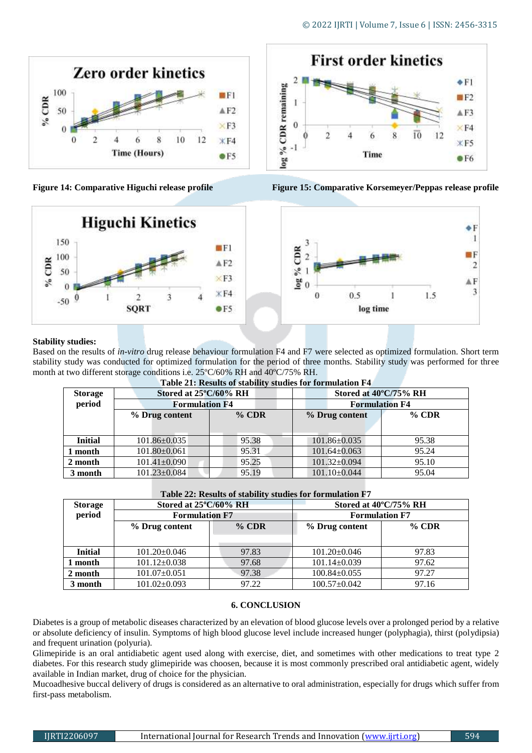







#### **Stability studies:**

Based on the results of *in-vitro* drug release behaviour formulation F4 and F7 were selected as optimized formulation. Short term stability study was conducted for optimized formulation for the period of three months. Stability study was performed for three month at two different storage conditions i.e. 25ºC/60% RH and 40ºC/75% RH.

| <b>Table 21. INSURS OF SUBDING SUBDINS TOF FOLIMURATION F</b> |                       |         |                       |          |  |  |  |  |
|---------------------------------------------------------------|-----------------------|---------|-----------------------|----------|--|--|--|--|
| <b>Storage</b>                                                | Stored at 25°C/60% RH |         | Stored at 40°C/75% RH |          |  |  |  |  |
| period                                                        | <b>Formulation F4</b> |         | <b>Formulation F4</b> |          |  |  |  |  |
|                                                               | % Drug content        | $%$ CDR | % Drug content        | $\%$ CDR |  |  |  |  |
|                                                               |                       |         |                       |          |  |  |  |  |
| <b>Initial</b>                                                | $101.86 \pm 0.035$    | 95.38   | $101.86 \pm 0.035$    | 95.38    |  |  |  |  |
| 1 month                                                       | $101.80 \pm 0.061$    | 95.31   | $101.64 \pm 0.063$    | 95.24    |  |  |  |  |
| 2 month                                                       | $101.41 \pm 0.090$    | 95.25   | $101.32 \pm 0.094$    | 95.10    |  |  |  |  |
| 3 month                                                       | $101.23 \pm 0.084$    | 95.19   | $101.10 \pm 0.044$    | 95.04    |  |  |  |  |

**Table 21: Results of stability studies for formulation F4**

| Table 22: Results of stability studies for formulation F7 |  |
|-----------------------------------------------------------|--|
|-----------------------------------------------------------|--|

| Tubic 22: Results of stability statics for formulation F / |                                 |         |                                 |          |  |  |  |  |
|------------------------------------------------------------|---------------------------------|---------|---------------------------------|----------|--|--|--|--|
| <b>Storage</b>                                             | Stored at $25^{\circ}C/60\%$ RH |         | Stored at $40^{\circ}$ C/75% RH |          |  |  |  |  |
| period                                                     | <b>Formulation F7</b>           |         | <b>Formulation F7</b>           |          |  |  |  |  |
|                                                            | % Drug content                  | $%$ CDR | % Drug content                  | $\%$ CDR |  |  |  |  |
|                                                            |                                 |         |                                 |          |  |  |  |  |
| <b>Initial</b>                                             | $101.20 \pm 0.046$              | 97.83   | $101.20 \pm 0.046$              | 97.83    |  |  |  |  |
| 1 month                                                    | $101.12 \pm 0.038$              | 97.68   | $101.14 \pm 0.039$              | 97.62    |  |  |  |  |
| 2 month                                                    | $101.07 \pm 0.051$              | 97.38   | $100.84 \pm 0.055$              | 97.27    |  |  |  |  |
| 3 month                                                    | $101.02 \pm 0.093$              | 97.22   | $100.57 \pm 0.042$              | 97.16    |  |  |  |  |

#### **6. CONCLUSION**

Diabetes is a group of metabolic diseases characterized by an elevation of blood glucose levels over a prolonged period by a relative or absolute deficiency of insulin. Symptoms of high blood glucose level include increased hunger (polyphagia), thirst (polydipsia) and frequent urination (polyuria).

Glimepiride is an oral antidiabetic agent used along with exercise, diet, and sometimes with other medications to treat type 2 diabetes. For this research study glimepiride was choosen, because it is most commonly prescribed oral antidiabetic agent, widely available in Indian market, drug of choice for the physician.

Mucoadhesive buccal delivery of drugs is considered as an alternative to oral administration, especially for drugs which suffer from first-pass metabolism.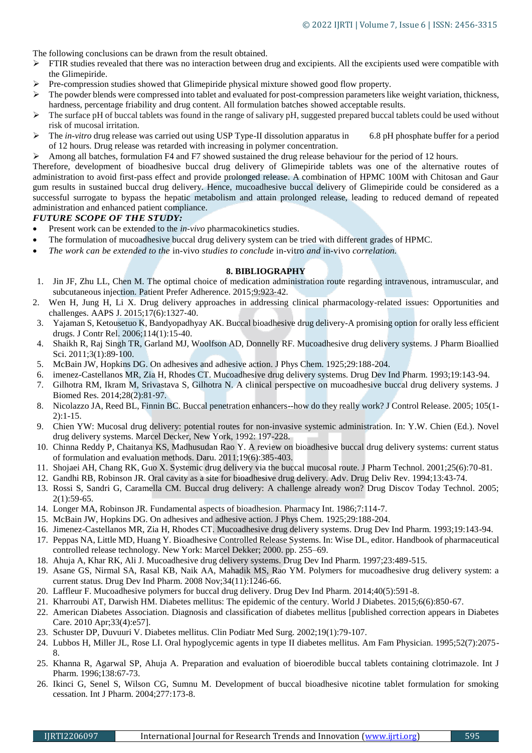The following conclusions can be drawn from the result obtained.

- $\triangleright$  FTIR studies revealed that there was no interaction between drug and excipients. All the excipients used were compatible with the Glimepiride.
- Pre-compression studies showed that Glimepiride physical mixture showed good flow property.
- The powder blends were compressed into tablet and evaluated for post-compression parameters like weight variation, thickness, hardness, percentage friability and drug content. All formulation batches showed acceptable results.
- The surface pH of buccal tablets was found in the range of salivary pH, suggested prepared buccal tablets could be used without risk of mucosal irritation.
- The *in-vitro* drug release was carried out using USP Type-II dissolution apparatus in 6.8 pH phosphate buffer for a period of 12 hours. Drug release was retarded with increasing in polymer concentration.
- Among all batches, formulation F4 and F7 showed sustained the drug release behaviour for the period of 12 hours.

Therefore, development of bioadhesive buccal drug delivery of Glimepiride tablets was one of the alternative routes of administration to avoid first-pass effect and provide prolonged release. A combination of HPMC 100M with Chitosan and Gaur gum results in sustained buccal drug delivery. Hence, mucoadhesive buccal delivery of Glimepiride could be considered as a successful surrogate to bypass the hepatic metabolism and attain prolonged release, leading to reduced demand of repeated administration and enhanced patient compliance.

#### *FUTURE SCOPE OF THE STUDY:*

- Present work can be extended to the *in-vivo* pharmacokinetics studies.
- The formulation of mucoadhesive buccal drug delivery system can be tried with different grades of HPMC.
- *The work can be extended to the* in-vivo *studies to conclude* in-vitro *and* in-vivo *correlation.*

#### **8. BIBLIOGRAPHY**

- 1. Jin JF, Zhu LL, Chen M. The optimal choice of medication administration route regarding intravenous, intramuscular, and subcutaneous injection. Patient Prefer Adherence. 2015;9:923‐42.
- 2. Wen H, Jung H, Li X. Drug delivery approaches in addressing clinical pharmacology-related issues: Opportunities and challenges. AAPS J. 2015;17(6):1327‐40.
- 3. Yajaman S, Ketousetuo K, Bandyopadhyay AK. Buccal bioadhesive drug delivery-A promising option for orally less efficient drugs. J Contr Rel. 2006;114(1):15-40.
- 4. Shaikh R, Raj Singh TR, Garland MJ, Woolfson AD, Donnelly RF. Mucoadhesive drug delivery systems. J Pharm Bioallied Sci. 2011;3(1):89‐100.
- 5. McBain JW, Hopkins DG. On adhesives and adhesive action. J Phys Chem. 1925;29:188-204.
- 6. imenez-Castellanos MR, Zia H, Rhodes CT. Mucoadhesive drug delivery systems. Drug Dev Ind Pharm. 1993;19:143-94.
- 7. Gilhotra RM, Ikram M, Srivastava S, Gilhotra N. A clinical perspective on mucoadhesive buccal drug delivery systems. J Biomed Res. 2014;28(2):81‐97.
- 8. Nicolazzo JA, Reed BL, Finnin BC. Buccal penetration enhancers--how do they really work? J Control Release. 2005; 105(1- 2):1-15.
- 9. Chien YW: Mucosal drug delivery: potential routes for non-invasive systemic administration. In: Y.W. Chien (Ed.). Novel drug delivery systems. Marcel Decker, New York, 1992: 197-228.
- 10. Chinna Reddy P, Chaitanya KS, Madhusudan Rao Y. A review on bioadhesive buccal drug delivery systems: current status of formulation and evaluation methods. Daru. 2011;19(6):385‐403.
- 11. Shojaei AH, Chang RK, Guo X. Systemic drug delivery via the buccal mucosal route. J Pharm Technol. 2001;25(6):70-81.
- 12. Gandhi RB, Robinson JR. Oral cavity as a site for bioadhesive drug delivery. Adv. Drug Deliv Rev. 1994;13:43-74.
- 13. Rossi S, Sandri G, Caramella CM. Buccal drug delivery: A challenge already won? Drug Discov Today Technol. 2005; 2(1):59-65.
- 14. Longer MA, Robinson JR. Fundamental aspects of bioadhesion. Pharmacy Int. 1986;7:114-7.
- 15. McBain JW, Hopkins DG. On adhesives and adhesive action. J Phys Chem. 1925;29:188-204.
- 16. Jimenez-Castellanos MR, Zia H, Rhodes CT. Mucoadhesive drug delivery systems. Drug Dev Ind Pharm. 1993;19:143-94.
- 17. Peppas NA, Little MD, Huang Y. Bioadhesive Controlled Release Systems. In: Wise DL, editor. Handbook of pharmaceutical controlled release technology. New York: Marcel Dekker; 2000. pp. 255–69.
- 18. Ahuja A, Khar RK, Ali J. Mucoadhesive drug delivery systems. Drug Dev Ind Pharm. 1997;23:489-515.
- 19. Asane GS, Nirmal SA, Rasal KB, Naik AA, Mahadik MS, Rao YM. Polymers for mucoadhesive drug delivery system: a current status. Drug Dev Ind Pharm. 2008 Nov;34(11):1246-66.
- 20. Laffleur F. Mucoadhesive polymers for buccal drug delivery. Drug Dev Ind Pharm. 2014;40(5):591-8.
- 21. Kharroubi AT, Darwish HM. Diabetes mellitus: The epidemic of the century. World J Diabetes. 2015;6(6):850‐67.
- 22. American Diabetes Association. Diagnosis and classification of diabetes mellitus [published correction appears in Diabetes Care. 2010 Apr;33(4):e57].
- 23. Schuster DP, Duvuuri V. Diabetes mellitus. Clin Podiatr Med Surg. 2002;19(1):79-107.
- 24. Lubbos H, Miller JL, Rose LI. Oral hypoglycemic agents in type II diabetes mellitus. Am Fam Physician. 1995;52(7):2075- 8.
- 25. Khanna R, Agarwal SP, Ahuja A. Preparation and evaluation of bioerodible buccal tablets containing clotrimazole. Int J Pharm. 1996;138:67-73.
- 26. Ikinci G, Senel S, Wilson CG, Sumnu M. Development of buccal bioadhesive nicotine tablet formulation for smoking cessation. Int J Pharm. 2004;277:173-8.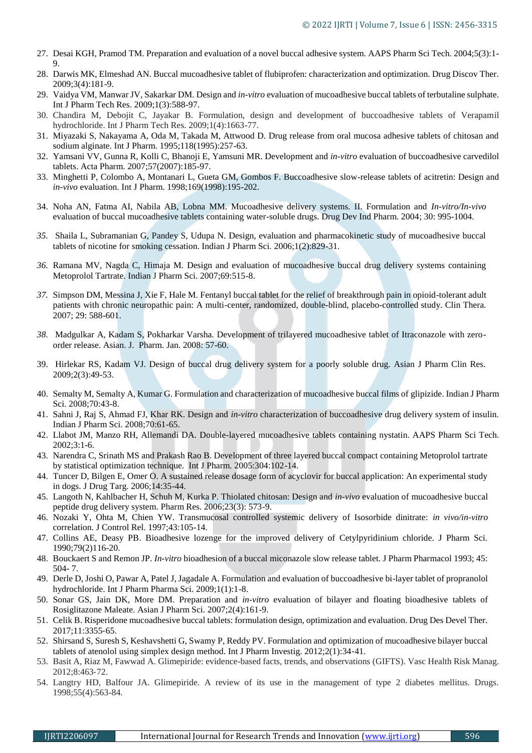- 27. Desai KGH, Pramod TM. Preparation and evaluation of a novel buccal adhesive system. AAPS Pharm Sci Tech. 2004;5(3):1- 9.
- 28. Darwis MK, Elmeshad AN. Buccal mucoadhesive tablet of flubiprofen: characterization and optimization. Drug Discov Ther. 2009;3(4):181-9.
- 29. Vaidya VM, Manwar JV, Sakarkar DM. Design and *in-vitro* evaluation of mucoadhesive buccal tablets of terbutaline sulphate. Int J Pharm Tech Res. 2009;1(3):588-97.
- 30. Chandira M, Debojit C, Jayakar B. Formulation, design and development of buccoadhesive tablets of Verapamil hydrochloride. Int J Pharm Tech Res. 2009;1(4):1663-77.
- 31. Miyazaki S, Nakayama A, Oda M, Takada M, Attwood D. Drug release from oral mucosa adhesive tablets of chitosan and sodium alginate. Int J Pharm. 1995;118(1995):257-63.
- 32. Yamsani VV, Gunna R, Kolli C, Bhanoji E, Yamsuni MR. Development and *in-vitro* evaluation of buccoadhesive carvedilol tablets. Acta Pharm. 2007;57(2007):185-97.
- 33. Minghetti P, Colombo A, Montanari L, Gueta GM, Gombos F. Buccoadhesive slow-release tablets of acitretin: Design and *in-vivo* evaluation. Int J Pharm. 1998;169(1998):195-202.
- 34. Noha AN, Fatma AI, Nabila AB, Lobna MM. Mucoadhesive delivery systems. II. Formulation and *In-vitro/In-vivo*  evaluation of buccal mucoadhesive tablets containing water-soluble drugs. Drug Dev Ind Pharm. 2004; 30: 995-1004.
- *35.* Shaila L, Subramanian G, Pandey S, Udupa N. Design, evaluation and pharmacokinetic study of mucoadhesive buccal tablets of nicotine for smoking cessation. Indian J Pharm Sci. 2006;1(2):829-31.
- *36.* Ramana MV, Nagda C, Himaja M. Design and evaluation of mucoadhesive buccal drug delivery systems containing Metoprolol Tartrate. Indian J Pharm Sci. 2007;69:515-8.
- *37.* Simpson DM, Messina J, Xie F, Hale M. Fentanyl buccal tablet for the relief of breakthrough pain in opioid-tolerant adult patients with chronic neuropathic pain: A multi-center, randomized, double-blind, placebo-controlled study. Clin Thera. 2007; 29: 588-601.
- *38.* Madgulkar A, Kadam S, Pokharkar Varsha. Development of trilayered mucoadhesive tablet of Itraconazole with zeroorder release. Asian. J. Pharm. Jan. 2008: 57-60.
- 39. Hirlekar RS, Kadam VJ. Design of buccal drug delivery system for a poorly soluble drug. Asian J Pharm Clin Res. 2009;2(3):49-53.
- 40. Semalty M, Semalty A, Kumar G. Formulation and characterization of mucoadhesive buccal films of glipizide. Indian J Pharm Sci. 2008;70:43-8.
- 41. Sahni J, Raj S, Ahmad FJ, Khar RK. Design and *in-vitro* characterization of buccoadhesive drug delivery system of insulin. Indian J Pharm Sci. 2008;70:61-65.
- 42. Llabot JM, Manzo RH, Allemandi DA. Double-layered mucoadhesive tablets containing nystatin. AAPS Pharm Sci Tech. 2002;3:1-6.
- 43. Narendra C, Srinath MS and Prakash Rao B. Development of three layered buccal compact containing Metoprolol tartrate by statistical optimization technique. Int J Pharm. 2005:304:102-14.
- 44. Tuncer D, Bilgen E, Omer O. A sustained release dosage form of acyclovir for buccal application: An experimental study in dogs. J Drug Targ. 2006;14:35-44.
- 45. Langoth N, Kahlbacher H, Schuh M, Kurka P. Thiolated chitosan: Design and *in-vivo* evaluation of mucoadhesive buccal peptide drug delivery system. Pharm Res. 2006;23(3): 573-9.
- 46. Nozaki Y, Ohta M, Chien YW. Transmucosal controlled systemic delivery of Isosorbide dinitrate: *in vivo/in-vitro*  correlation. J Control Rel. 1997;43:105-14.
- 47. Collins AE, Deasy PB. Bioadhesive lozenge for the improved delivery of Cetylpyridinium chloride. J Pharm Sci. 1990;79(2)116-20.
- 48. Bouckaert S and Remon JP. *In-vitro* bioadhesion of a buccal miconazole slow release tablet. J Pharm Pharmacol 1993; 45: 504- 7.
- 49. Derle D, Joshi O, Pawar A, Patel J, Jagadale A. Formulation and evaluation of buccoadhesive bi-layer tablet of propranolol hydrochloride. Int J Pharm Pharma Sci. 2009;1(1):1-8.
- 50. Sonar GS, Jain DK, More DM. Preparation and *in-vitro* evaluation of bilayer and floating bioadhesive tablets of Rosiglitazone Maleate. Asian J Pharm Sci. 2007;2(4):161-9.
- 51. Celik B. Risperidone mucoadhesive buccal tablets: formulation design, optimization and evaluation. Drug Des Devel Ther. 2017;11:3355‐65.
- 52. Shirsand S, Suresh S, Keshavshetti G, Swamy P, Reddy PV. Formulation and optimization of mucoadhesive bilayer buccal tablets of atenolol using simplex design method. Int J Pharm Investig. 2012;2(1):34‐41.
- 53. Basit A, Riaz M, Fawwad A. Glimepiride: evidence-based facts, trends, and observations (GIFTS). Vasc Health Risk Manag. 2012;8:463‐72.
- 54. Langtry HD, Balfour JA. Glimepiride. A review of its use in the management of type 2 diabetes mellitus. Drugs. 1998;55(4):563-84.